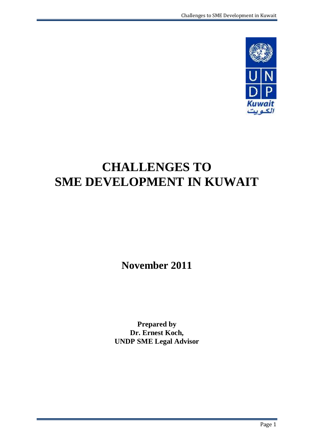

# **CHALLENGES TO SME DEVELOPMENT IN KUWAIT**

**November 2011**

**Prepared by Dr. Ernest Koch, UNDP SME Legal Advisor**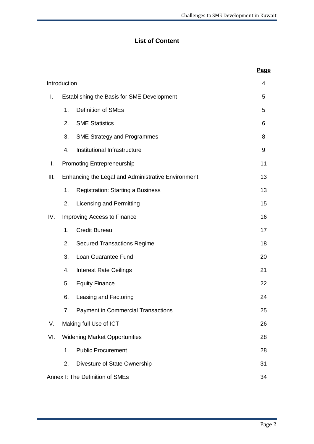## **List of Content**

|      |                                                    |                                           | <b>Page</b> |
|------|----------------------------------------------------|-------------------------------------------|-------------|
|      | Introduction                                       |                                           | 4           |
| I.   | Establishing the Basis for SME Development         | 5                                         |             |
|      | 1.                                                 | <b>Definition of SMEs</b>                 | 5           |
|      | 2.                                                 | <b>SME Statistics</b>                     | 6           |
|      | 3.                                                 | <b>SME Strategy and Programmes</b>        | 8           |
|      | 4.                                                 | Institutional Infrastructure              | 9           |
| Ш.   |                                                    | <b>Promoting Entrepreneurship</b>         | 11          |
| III. | Enhancing the Legal and Administrative Environment | 13                                        |             |
|      | 1.                                                 | <b>Registration: Starting a Business</b>  | 13          |
|      | 2.                                                 | Licensing and Permitting                  | 15          |
| IV.  | Improving Access to Finance                        | 16                                        |             |
|      | 1.                                                 | <b>Credit Bureau</b>                      | 17          |
|      | 2.                                                 | <b>Secured Transactions Regime</b>        | 18          |
|      | 3.                                                 | Loan Guarantee Fund                       | 20          |
|      | 4.                                                 | <b>Interest Rate Ceilings</b>             | 21          |
|      | 5.                                                 | <b>Equity Finance</b>                     | 22          |
|      | 6.                                                 | Leasing and Factoring                     | 24          |
|      | 7.                                                 | <b>Payment in Commercial Transactions</b> | 25          |
| V.   |                                                    | Making full Use of ICT                    | 26          |
| VI.  | <b>Widening Market Opportunities</b>               | 28                                        |             |
|      | 1.                                                 | <b>Public Procurement</b>                 | 28          |
|      | 2.                                                 | Divesture of State Ownership              | 31          |
|      |                                                    | Annex I: The Definition of SMEs           | 34          |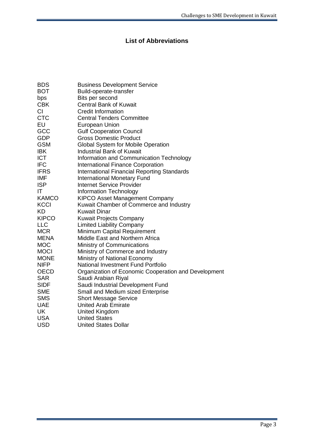## **List of Abbreviations**

| <b>BDS</b>   | <b>Business Development Service</b>                  |
|--------------|------------------------------------------------------|
| <b>BOT</b>   | Build-operate-transfer                               |
| bps          | Bits per second                                      |
| <b>CBK</b>   | <b>Central Bank of Kuwait</b>                        |
| CI.          | <b>Credit Information</b>                            |
| <b>CTC</b>   | <b>Central Tenders Committee</b>                     |
| EU           | <b>European Union</b>                                |
| GCC          | <b>Gulf Cooperation Council</b>                      |
| <b>GDP</b>   | <b>Gross Domestic Product</b>                        |
| <b>GSM</b>   | Global System for Mobile Operation                   |
| <b>IBK</b>   | <b>Industrial Bank of Kuwait</b>                     |
| <b>ICT</b>   | Information and Communication Technology             |
| <b>IFC</b>   | International Finance Corporation                    |
| <b>IFRS</b>  | <b>International Financial Reporting Standards</b>   |
| <b>IMF</b>   | International Monetary Fund                          |
| <b>ISP</b>   | <b>Internet Service Provider</b>                     |
| IT.          | Information Technology                               |
| <b>KAMCO</b> | <b>KIPCO Asset Management Company</b>                |
| <b>KCCI</b>  | Kuwait Chamber of Commerce and Industry              |
| <b>KD</b>    | <b>Kuwait Dinar</b>                                  |
| <b>KIPCO</b> | <b>Kuwait Projects Company</b>                       |
| <b>LLC</b>   | <b>Limited Liability Company</b>                     |
| <b>MCR</b>   | Minimum Capital Requirement                          |
| <b>MENA</b>  | Middle East and Northern Africa                      |
| <b>MOC</b>   | Ministry of Communications                           |
| <b>MOCI</b>  | Ministry of Commerce and Industry                    |
| <b>MONE</b>  | Ministry of National Economy                         |
| <b>NIFP</b>  | National Investment Fund Portfolio                   |
| <b>OECD</b>  | Organization of Economic Cooperation and Development |
| <b>SAR</b>   | Saudi Arabian Riyal                                  |
| <b>SIDF</b>  | Saudi Industrial Development Fund                    |
| <b>SME</b>   | Small and Medium sized Enterprise                    |
| <b>SMS</b>   | <b>Short Message Service</b>                         |
| <b>UAE</b>   | <b>United Arab Emirate</b>                           |
| <b>UK</b>    | <b>United Kingdom</b>                                |
| <b>USA</b>   | <b>United States</b>                                 |
| <b>USD</b>   | <b>United States Dollar</b>                          |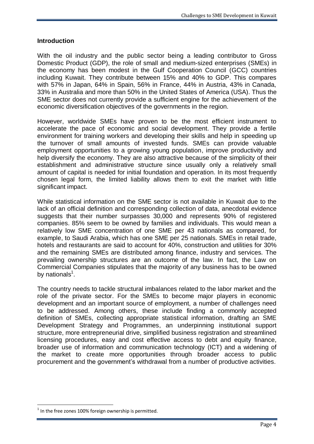#### **Introduction**

With the oil industry and the public sector being a leading contributor to Gross Domestic Product (GDP), the role of small and medium-sized enterprises (SMEs) in the economy has been modest in the Gulf Cooperation Council (GCC) countries including Kuwait. They contribute between 15% and 40% to GDP. This compares with 57% in Japan, 64% in Spain, 56% in France, 44% in Austria, 43% in Canada, 33% in Australia and more than 50% in the United States of America (USA). Thus the SME sector does not currently provide a sufficient engine for the achievement of the economic diversification objectives of the governments in the region.

However, worldwide SMEs have proven to be the most efficient instrument to accelerate the pace of economic and social development. They provide a fertile environment for training workers and developing their skills and help in speeding up the turnover of small amounts of invested funds. SMEs can provide valuable employment opportunities to a growing young population, improve productivity and help diversify the economy. They are also attractive because of the simplicity of their establishment and administrative structure since usually only a relatively small amount of capital is needed for initial foundation and operation. In its most frequently chosen legal form, the limited liability allows them to exit the market with little significant impact.

While statistical information on the SME sector is not available in Kuwait due to the lack of an official definition and corresponding collection of data, anecdotal evidence suggests that their number surpasses 30,000 and represents 90% of registered companies. 85% seem to be owned by families and individuals. This would mean a relatively low SME concentration of one SME per 43 nationals as compared, for example, to Saudi Arabia, which has one SME per 25 nationals. SMEs in retail trade, hotels and restaurants are said to account for 40%, construction and utilities for 30% and the remaining SMEs are distributed among finance, industry and services. The prevailing ownership structures are an outcome of the law. In fact, the Law on Commercial Companies stipulates that the majority of any business has to be owned by nationals<sup>1</sup>.

The country needs to tackle structural imbalances related to the labor market and the role of the private sector. For the SMEs to become major players in economic development and an important source of employment, a number of challenges need to be addressed. Among others, these include finding a commonly accepted definition of SMEs, collecting appropriate statistical information, drafting an SME Development Strategy and Programmes, an underpinning institutional support structure, more entrepreneurial drive, simplified business registration and streamlined licensing procedures, easy and cost effective access to debt and equity finance, broader use of information and communication technology (ICT) and a widening of the market to create more opportunities through broader access to public procurement and the government's withdrawal from a number of productive activities.

 $1$  In the free zones 100% foreign ownership is permitted.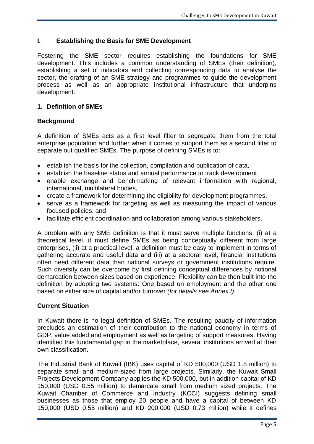## **I. Establishing the Basis for SME Development**

Fostering the SME sector requires establishing the foundations for SME development. This includes a common understanding of SMEs (their definition), establishing a set of indicators and collecting corresponding data to analyse the sector, the drafting of an SME strategy and programmes to guide the development process as well as an appropriate institutional infrastructure that underpins development.

### **1. Definition of SMEs**

#### **Background**

A definition of SMEs acts as a first level filter to segregate them from the total enterprise population and further when it comes to support them as a second filter to separate out qualified SMEs. The purpose of defining SMEs is to:

- establish the basis for the collection, compilation and publication of data,
- establish the baseline status and annual performance to track development,
- enable exchange and benchmarking of relevant information with regional, international, multilateral bodies,
- create a framework for determining the eligibility for development programmes,
- serve as a framework for targeting as well as measuring the impact of various focused policies, and
- facilitate efficient coordination and collaboration among various stakeholders.

A problem with any SME definition is that it must serve multiple functions: (i) at a theoretical level, it must define SMEs as being conceptually different from large enterprises, (ii) at a practical level, a definition must be easy to implement in terms of gathering accurate and useful data and (iii) at a sectoral level, financial institutions often need different data than national surveys or government institutions require. Such diversity can be overcome by first defining conceptual differences by notional demarcation between sizes based on experience. Flexibility can be then built into the definition by adopting two systems: One based on employment and the other one based on either size of capital and/or turnover *(for details see Annex I).*

#### **Current Situation**

In Kuwait there is no legal definition of SMEs. The resulting paucity of information precludes an estimation of their contribution to the national economy in terms of GDP, value added and employment as well as targeting of support measures. Having identified this fundamental gap in the marketplace, several institutions arrived at their own classification.

The Industrial Bank of Kuwait (IBK) uses capital of KD 500,000 (USD 1.8 million) to separate small and medium-sized from large projects. Similarly, the Kuwait Small Projects Development Company applies the KD 500,000, but in addition capital of KD 150,000 (USD 0.55 million) to demarcate small from medium sized projects. The Kuwait Chamber of Commerce and Industry (KCCI) suggests defining small businesses as those that employ 20 people and have a capital of between KD 150,000 (USD 0.55 million) and KD 200,000 (USD 0.73 million) while it defines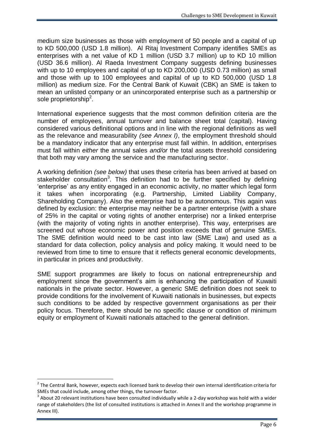medium size businesses as those with employment of 50 people and a capital of up to KD 500,000 (USD 1.8 million). Al Ritaj Investment Company identifies SMEs as enterprises with a net value of KD 1 million (USD 3.7 million) up to KD 10 million (USD 36.6 million). Al Raeda Investment Company suggests defining businesses with up to 10 employees and capital of up to KD 200,000 (USD 0.73 million) as small and those with up to 100 employees and capital of up to KD 500,000 (USD 1.8 million) as medium size. For the Central Bank of Kuwait (CBK) an SME is taken to mean an unlisted company or an unincorporated enterprise such as a partnership or sole proprietorship<sup>2</sup>.

International experience suggests that the most common definition criteria are the number of employees, annual turnover and balance sheet total (capital). Having considered various definitional options and in line with the regional definitions as well as the relevance and measurability *(see Annex I)*, the employment threshold should be a mandatory indicator that any enterprise must fall within. In addition, enterprises must fall within *either* the annual sales *and/or* the total assets threshold considering that both may vary among the service and the manufacturing sector.

A working definition *(see below)* that uses these criteria has been arrived at based on stakeholder consultation<sup>3</sup>. This definition had to be further specified by defining 'enterprise' as any entity engaged in an economic activity, no matter which legal form it takes when incorporating (e.g. Partnership, Limited Liability Company, Shareholding Company). Also the enterprise had to be autonomous. This again was defined by exclusion: the enterprise may neither be a partner enterprise (with a share of 25% in the capital or voting rights of another enterprise) nor a linked enterprise (with the majority of voting rights in another enterprise). This way, enterprises are screened out whose economic power and position exceeds that of genuine SMEs. The SME definition would need to be cast into law (SME Law) and used as a standard for data collection, policy analysis and policy making. It would need to be reviewed from time to time to ensure that it reflects general economic developments, in particular in prices and productivity.

SME support programmes are likely to focus on national entrepreneurship and employment since the government's aim is enhancing the participation of Kuwaiti nationals in the private sector. However, a generic SME definition does not seek to provide conditions for the involvement of Kuwaiti nationals in businesses, but expects such conditions to be added by respective government organisations as per their policy focus. Therefore, there should be no specific clause or condition of minimum equity or employment of Kuwaiti nationals attached to the general definition.

 $2$  The Central Bank, however, expects each licensed bank to develop their own internal identification criteria for SMEs that could include, among other things, the turnover factor.

<sup>3</sup> About 20 relevant institutions have been consulted individually while a 2-day workshop was hold with a wider range of stakeholders (the list of consulted institutions is attached in Annex II and the workshop programme in Annex III).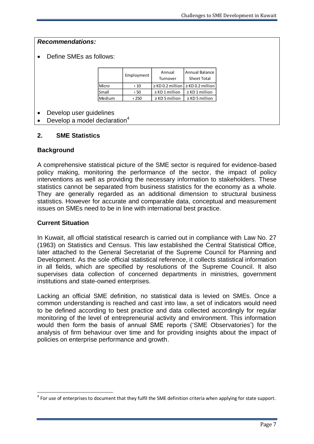Define SMEs as follows:

|        | Employment    | Annual<br>Turnover                        | Annual Balance<br><b>Sheet Total</b> |
|--------|---------------|-------------------------------------------|--------------------------------------|
| Micro  | ← 10          | $\ge$ KD 0.2 million $\ge$ KD 0.2 million |                                      |
| Small  | $\langle 50$  | $\ge$ KD 1 million                        | $\geq$ KD 1 million                  |
| Medium | $\langle 250$ | $\ge$ KD 5 million                        | $\ge$ KD 5 million                   |

Develop user guidelines

Develop a model declaration $4$ 

#### **2. SME Statistics**

#### **Background**

A comprehensive statistical picture of the SME sector is required for evidence-based policy making, monitoring the performance of the sector, the impact of policy interventions as well as providing the necessary information to stakeholders. These statistics cannot be separated from business statistics for the economy as a whole. They are generally regarded as an additional dimension to structural business statistics. However for accurate and comparable data, conceptual and measurement issues on SMEs need to be in line with international best practice.

#### **Current Situation**

1

In Kuwait, all official statistical research is carried out in compliance with Law No. 27 (1963) on Statistics and Census. This law established the Central Statistical Office, later attached to the General Secretariat of the Supreme Council for Planning and Development. As the sole official statistical reference, it collects statistical information in all fields, which are specified by resolutions of the Supreme Council. It also supervises data collection of concerned departments in ministries, government institutions and state-owned enterprises.

Lacking an official SME definition, no statistical data is levied on SMEs. Once a common understanding is reached and cast into law, a set of indicators would need to be defined according to best practice and data collected accordingly for regular monitoring of the level of entrepreneurial activity and environment. This information would then form the basis of annual SME reports ('SME Observatories') for the analysis of firm behaviour over time and for providing insights about the impact of policies on enterprise performance and growth.

 $<sup>4</sup>$  For use of enterprises to document that they fulfil the SME definition criteria when applying for state support.</sup>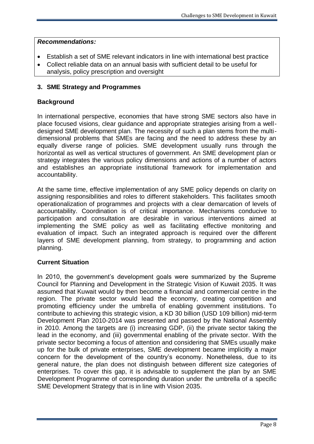- Establish a set of SME relevant indicators in line with international best practice
- Collect reliable data on an annual basis with sufficient detail to be useful for analysis, policy prescription and oversight

## **3. SME Strategy and Programmes**

### **Background**

In international perspective, economies that have strong SME sectors also have in place focused visions, clear guidance and appropriate strategies arising from a welldesigned SME development plan. The necessity of such a plan stems from the multidimensional problems that SMEs are facing and the need to address these by an equally diverse range of policies. SME development usually runs through the horizontal as well as vertical structures of government. An SME development plan or strategy integrates the various policy dimensions and actions of a number of actors and establishes an appropriate institutional framework for implementation and accountability.

At the same time, effective implementation of any SME policy depends on clarity on assigning responsibilities and roles to different stakeholders. This facilitates smooth operationalization of programmes and projects with a clear demarcation of levels of accountability. Coordination is of critical importance. Mechanisms conducive to participation and consultation are desirable in various interventions aimed at implementing the SME policy as well as facilitating effective monitoring and evaluation of impact. Such an integrated approach is required over the different layers of SME development planning, from strategy, to programming and action planning.

#### **Current Situation**

In 2010, the government's development goals were summarized by the Supreme Council for Planning and Development in the Strategic Vision of Kuwait 2035. It was assumed that Kuwait would by then become a financial and commercial centre in the region. The private sector would lead the economy, creating competition and promoting efficiency under the umbrella of enabling government institutions. To contribute to achieving this strategic vision, a KD 30 billion (USD 109 billion) mid-term Development Plan 2010-2014 was presented and passed by the National Assembly in 2010. Among the targets are (i) increasing GDP, (ii) the private sector taking the lead in the economy, and (iii) governmental enabling of the private sector. With the private sector becoming a focus of attention and considering that SMEs usually make up for the bulk of private enterprises, SME development became implicitly a major concern for the development of the country's economy. Nonetheless, due to its general nature, the plan does not distinguish between different size categories of enterprises. To cover this gap, it is advisable to supplement the plan by an SME Development Programme of corresponding duration under the umbrella of a specific SME Development Strategy that is in line with Vision 2035.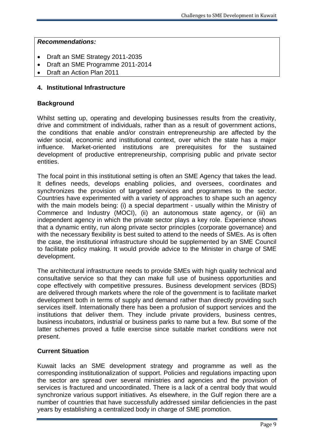- Draft an SME Strategy 2011-2035
- Draft an SME Programme 2011-2014
- Draft an Action Plan 2011

### **4. Institutional Infrastructure**

### **Background**

Whilst setting up, operating and developing businesses results from the creativity, drive and commitment of individuals, rather than as a result of government actions, the conditions that enable and/or constrain entrepreneurship are affected by the wider social, economic and institutional context, over which the state has a major influence. Market-oriented institutions are prerequisites for the sustained development of productive entrepreneurship, comprising public and private sector entities.

The focal point in this institutional setting is often an SME Agency that takes the lead. It defines needs, develops enabling policies, and oversees, coordinates and synchronizes the provision of targeted services and programmes to the sector. Countries have experimented with a variety of approaches to shape such an agency with the main models being: (i) a special department - usually within the Ministry of Commerce and Industry (MOCI), (ii) an autonomous state agency, or (iii) an independent agency in which the private sector plays a key role. Experience shows that a dynamic entity, run along private sector principles (corporate governance) and with the necessary flexibility is best suited to attend to the needs of SMEs. As is often the case, the institutional infrastructure should be supplemented by an SME Council to facilitate policy making. It would provide advice to the Minister in charge of SME development.

The architectural infrastructure needs to provide SMEs with high quality technical and consultative service so that they can make full use of business opportunities and cope effectively with competitive pressures. Business development services (BDS) are delivered through markets where the role of the government is to facilitate market development both in terms of supply and demand rather than directly providing such services itself. Internationally there has been a profusion of support services and the institutions that deliver them. They include private providers, business centres, business incubators, industrial or business parks to name but a few. But some of the latter schemes proved a futile exercise since suitable market conditions were not present.

## **Current Situation**

Kuwait lacks an SME development strategy and programme as well as the corresponding institutionalization of support. Policies and regulations impacting upon the sector are spread over several ministries and agencies and the provision of services is fractured and uncoordinated. There is a lack of a central body that would synchronize various support initiatives. As elsewhere, in the Gulf region there are a number of countries that have successfully addressed similar deficiencies in the past years by establishing a centralized body in charge of SME promotion.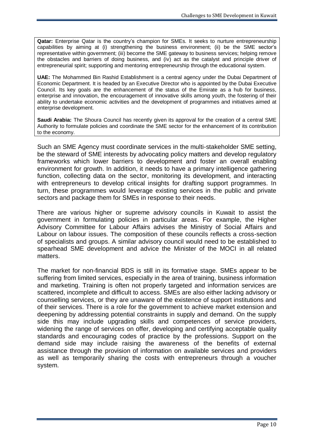**Qatar:** Enterprise Qatar is the country's champion for SMEs. It seeks to nurture entrepreneurship capabilities by aiming at (i) strengthening the business environment; (ii) be the SME sector's representative within government; (iii) become the SME gateway to business services; helping remove the obstacles and barriers of doing business, and (iv) act as the catalyst and principle driver of entrepreneurial spirit; supporting and mentoring entrepreneurship through the educational system.

**UAE:** The Mohammed Bin Rashid Establishment is a central agency under the Dubai Department of Economic Department. It is headed by an Executive Director who is appointed by the Dubai Executive Council. Its key goals are the enhancement of the status of the Emirate as a hub for business, enterprise and innovation, the encouragement of innovative skills among youth, the fostering of their ability to undertake economic activities and the development of programmes and initiatives aimed at enterprise development.

**Saudi Arabia:** The Shoura Council has recently given its approval for the creation of a central SME Authority to formulate policies and coordinate the SME sector for the enhancement of its contribution to the economy.

Such an SME Agency must coordinate services in the multi-stakeholder SME setting, be the steward of SME interests by advocating policy matters and develop regulatory frameworks which lower barriers to development and foster an overall enabling environment for growth. In addition, it needs to have a primary intelligence gathering function, collecting data on the sector, monitoring its development, and interacting with entrepreneurs to develop critical insights for drafting support programmes. In turn, these programmes would leverage existing services in the public and private sectors and package them for SMEs in response to their needs.

There are various higher or supreme advisory councils in Kuwait to assist the government in formulating policies in particular areas. For example, the Higher Advisory Committee for Labour Affairs advises the Ministry of Social Affairs and Labour on labour issues. The composition of these councils reflects a cross-section of specialists and groups. A similar advisory council would need to be established to spearhead SME development and advice the Minister of the MOCI in all related matters.

The market for non-financial BDS is still in its formative stage. SMEs appear to be suffering from limited services, especially in the area of training, business information and marketing. Training is often not properly targeted and information services are scattered, incomplete and difficult to access. SMEs are also either lacking advisory or counselling services, or they are unaware of the existence of support institutions and of their services. There is a role for the government to achieve market extension and deepening by addressing potential constraints in supply and demand. On the supply side this may include upgrading skills and competences of service providers, widening the range of services on offer, developing and certifying acceptable quality standards and encouraging codes of practice by the professions. Support on the demand side may include raising the awareness of the benefits of external assistance through the provision of information on available services and providers as well as temporarily sharing the costs with entrepreneurs through a voucher system.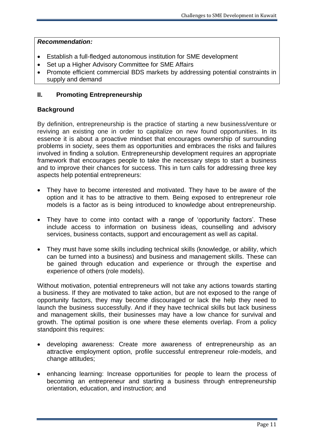- Establish a full-fledged autonomous institution for SME development
- Set up a Higher Advisory Committee for SME Affairs
- Promote efficient commercial BDS markets by addressing potential constraints in supply and demand

### **II. Promoting Entrepreneurship**

#### **Background**

By definition, entrepreneurship is the practice of starting a new business/venture or reviving an existing one in order to capitalize on new found opportunities. In its essence it is about a proactive mindset that encourages ownership of surrounding problems in society, sees them as opportunities and embraces the risks and failures involved in finding a solution. Entrepreneurship development requires an appropriate framework that encourages people to take the necessary steps to start a business and to improve their chances for success. This in turn calls for addressing three key aspects help potential entrepreneurs:

- They have to become interested and motivated. They have to be aware of the option and it has to be attractive to them. Being exposed to entrepreneur role models is a factor as is being introduced to knowledge about entrepreneurship.
- They have to come into contact with a range of 'opportunity factors'. These include access to information on business ideas, counselling and advisory services, business contacts, support and encouragement as well as capital.
- They must have some skills including technical skills (knowledge, or ability, which can be turned into a business) and business and management skills. These can be gained through education and experience or through the expertise and experience of others (role models).

Without motivation, potential entrepreneurs will not take any actions towards starting a business. If they are motivated to take action, but are not exposed to the range of opportunity factors, they may become discouraged or lack the help they need to launch the business successfully. And if they have technical skills but lack business and management skills, their businesses may have a low chance for survival and growth. The optimal position is one where these elements overlap. From a policy standpoint this requires:

- developing awareness: Create more awareness of entrepreneurship as an attractive employment option, profile successful entrepreneur role-models, and change attitudes;
- enhancing learning: Increase opportunities for people to learn the process of becoming an entrepreneur and starting a business through entrepreneurship orientation, education, and instruction; and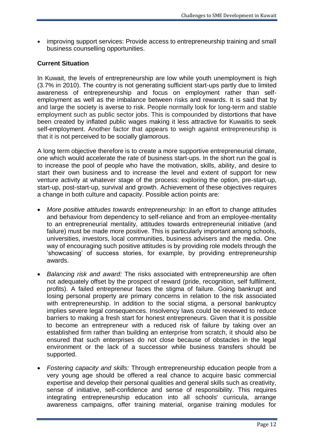improving support services: Provide access to entrepreneurship training and small business counselling opportunities.

## **Current Situation**

In Kuwait, the levels of entrepreneurship are low while youth unemployment is high (3.7% in 2010). The country is not generating sufficient start-ups partly due to limited awareness of entrepreneurship and focus on employment rather than selfemployment as well as the imbalance between risks and rewards. It is said that by and large the society is averse to risk. People normally look for long-term and stable employment such as public sector jobs. This is compounded by distortions that have been created by inflated public wages making it less attractive for Kuwaitis to seek self-employment. Another factor that appears to weigh against entrepreneurship is that it is not perceived to be socially glamorous.

A long term objective therefore is to create a more supportive entrepreneurial climate, one which would accelerate the rate of business start-ups. In the short run the goal is to increase the pool of people who have the motivation, skills, ability, and desire to start their own business and to increase the level and extent of support for new venture activity at whatever stage of the process: exploring the option, pre-start-up, start-up, post-start-up, survival and growth. Achievement of these objectives requires a change in both culture and capacity. Possible action points are:

- *More positive attitudes towards entrepreneurship:* In an effort to change attitudes and behaviour from dependency to self-reliance and from an employee-mentality to an entrepreneurial mentality, attitudes towards entrepreneurial initiative (and failure) must be made more positive. This is particularly important among schools, universities, investors, local communities, business advisers and the media. One way of encouraging such positive attitudes is by providing role models through the 'showcasing' of success stories, for example, by providing entrepreneurship awards.
- *Balancing risk and award:* The risks associated with entrepreneurship are often not adequately offset by the prospect of reward (pride, recognition, self fulfilment, profits). A failed entrepreneur faces the stigma of failure. Going bankrupt and losing personal property are primary concerns in relation to the risk associated with entrepreneurship. In addition to the social stigma, a personal bankruptcy implies severe legal consequences. Insolvency laws could be reviewed to reduce barriers to making a fresh start for honest entrepreneurs. Given that it is possible to become an entrepreneur with a reduced risk of failure by taking over an established firm rather than building an enterprise from scratch, it should also be ensured that such enterprises do not close because of obstacles in the legal environment or the lack of a successor while business transfers should be supported.
- *Fostering capacity and skills:* Through entrepreneurship education people from a very young age should be offered a real chance to acquire basic commercial expertise and develop their personal qualities and general skills such as creativity, sense of initiative, self-confidence and sense of responsibility. This requires integrating entrepreneurship education into all schools' curricula, arrange awareness campaigns, offer training material, organise training modules for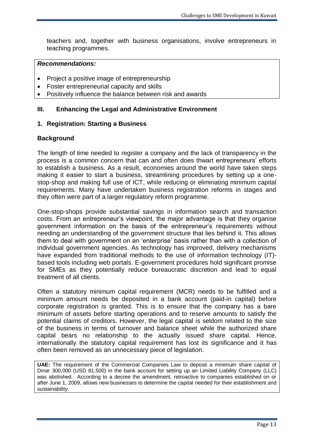teachers and, together with business organisations, involve entrepreneurs in teaching programmes.

#### *Recommendations:*

- Project a positive image of entrepreneurship
- Foster entrepreneurial capacity and skills
- Positively influence the balance between risk and awards

#### **III. Enhancing the Legal and Administrative Environment**

#### **1. Registration: Starting a Business**

#### **Background**

The length of time needed to register a company and the lack of transparency in the process is a common concern that can and often does thwart entrepreneurs' efforts to establish a business. As a result, economies around the world have taken steps making it easier to start a business, streamlining procedures by setting up a onestop-shop and making full use of ICT, while reducing or eliminating minimum capital requirements. Many have undertaken business registration reforms in stages and they often were part of a larger regulatory reform programme.

One-stop-shops provide substantial savings in information search and transaction costs. From an entrepreneur's viewpoint, the major advantage is that they organise government information on the basis of the entrepreneur's requirements without needing an understanding of the government structure that lies behind it. This allows them to deal with government on an 'enterprise' basis rather than with a collection of individual government agencies. As technology has improved, delivery mechanisms have expanded from traditional methods to the use of information technology (IT) based tools including web portals. E-government procedures hold significant promise for SMEs as they potentially reduce bureaucratic discretion and lead to equal treatment of all clients.

Often a statutory minimum capital requirement (MCR) needs to be fulfilled and a minimum amount needs be deposited in a bank account (paid-in capital) before corporate registration is granted. This is to ensure that the company has a bare minimum of assets before starting operations and to reserve amounts to satisfy the potential claims of creditors. However, the legal capital is seldom related to the size of the business in terms of turnover and balance sheet while the authorized share capital bears no relationship to the actually issued share capital. Hence, internationally the statutory capital requirement has lost its significance and it has often been removed as an unnecessary piece of legislation.

**UAE:** The requirement of the Commercial Companies Law to deposit a minimum share capital of Dinar 300,000 (USD 81,500) in the bank account for setting up an Limited Liability Company (LLC) was abolished. According to a decree the amendment, retroactive to companies established on or after June 1, 2009, allows new businesses to determine the capital needed for their establishment and sustainability.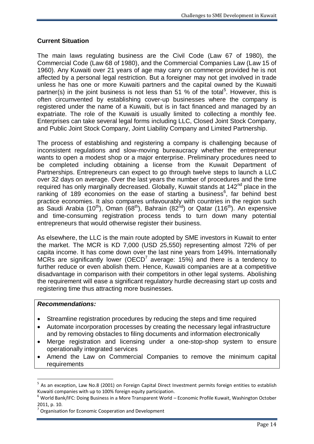## **Current Situation**

The main laws regulating business are the Civil Code (Law 67 of 1980), the Commercial Code (Law 68 of 1980), and the Commercial Companies Law (Law 15 of 1960). Any Kuwaiti over 21 years of age may carry on commerce provided he is not affected by a personal legal restriction. But a foreigner may not get involved in trade unless he has one or more Kuwaiti partners and the capital owned by the Kuwaiti partner(s) in the joint business is not less than 51 % of the total<sup>5</sup>. However, this is often circumvented by establishing cover-up businesses where the company is registered under the name of a Kuwaiti, but is in fact financed and managed by an expatriate. The role of the Kuwaiti is usually limited to collecting a monthly fee. Enterprises can take several legal forms including LLC, Closed Joint Stock Company, and Public Joint Stock Company, Joint Liability Company and Limited Partnership.

The process of establishing and registering a company is challenging because of inconsistent regulations and slow-moving bureaucracy whether the entrepreneur wants to open a modest shop or a major enterprise. Preliminary procedures need to be completed including obtaining a license from the Kuwait Department of Partnerships. Entrepreneurs can expect to go through twelve steps to launch a LLC over 32 days on average. Over the last years the number of procedures and the time required has only marginally decreased. Globally, Kuwait stands at 142<sup>nd</sup> place in the ranking of 189 economies on the ease of starting a business $6$ , far behind best practice economies. It also compares unfavourably with countries in the region such as Saudi Arabia (10<sup>th</sup>), Oman (68<sup>th</sup>), Bahrain (82<sup>nd</sup>) or Qatar (116<sup>th</sup>). An expensive and time-consuming registration process tends to turn down many potential entrepreneurs that would otherwise register their business.

As elsewhere, the LLC is the main route adopted by SME investors in Kuwait to enter the market. The MCR is KD 7,000 (USD 25,550) representing almost 72% of per capita income. It has come down over the last nine years from 149%. Internationally MCRs are significantly lower (OECD<sup>7</sup> average: 15%) and there is a tendency to further reduce or even abolish them. Hence, Kuwaiti companies are at a competitive disadvantage in comparison with their competitors in other legal systems. Abolishing the requirement will ease a significant regulatory hurdle decreasing start up costs and registering time thus attracting more businesses.

#### *Recommendations:*

- Streamline registration procedures by reducing the steps and time required
- Automate incorporation processes by creating the necessary legal infrastructure and by removing obstacles to filing documents and information electronically
- Merge registration and licensing under a one-stop-shop system to ensure operationally integrated services
- Amend the Law on Commercial Companies to remove the minimum capital requirements

<sup>&</sup>lt;sup>5</sup> As an exception, Law No.8 (2001) on Foreign Capital Direct Investment permits foreign entities to establish Kuwaiti companies with up to 100% foreign equity participation.

 $6$  World Bank/IFC: Doing Business in a More Transparent World – Economic Profile Kuwait, Washington October 2011, p. 10.

<sup>7</sup> Organisation for Economic Cooperation and Development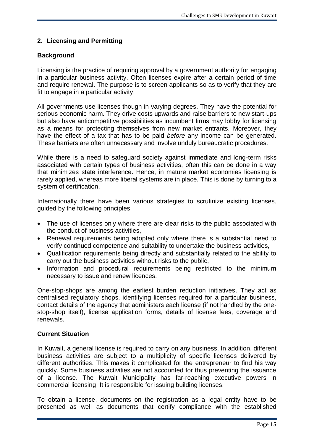## **2. Licensing and Permitting**

## **Background**

Licensing is the practice of requiring approval by a government authority for engaging in a particular business activity. Often licenses expire after a certain period of time and require renewal. The purpose is to screen applicants so as to verify that they are fit to engage in a particular activity.

All governments use licenses though in varying degrees. They have the potential for serious economic harm. They drive costs upwards and raise barriers to new start-ups but also have anticompetitive possibilities as incumbent firms may lobby for licensing as a means for protecting themselves from new market entrants. Moreover, they have the effect of a tax that has to be paid *before* any income can be generated. These barriers are often unnecessary and involve unduly bureaucratic procedures.

While there is a need to safeguard society against immediate and long-term risks associated with certain types of business activities, often this can be done in a way that minimizes state interference. Hence, in mature market economies licensing is rarely applied, whereas more liberal systems are in place. This is done by turning to a system of certification.

Internationally there have been various strategies to scrutinize existing licenses, guided by the following principles:

- The use of licenses only where there are clear risks to the public associated with the conduct of business activities,
- Renewal requirements being adopted only where there is a substantial need to verify continued competence and suitability to undertake the business activities,
- Qualification requirements being directly and substantially related to the ability to carry out the business activities without risks to the public,
- Information and procedural requirements being restricted to the minimum necessary to issue and renew licences.

One-stop-shops are among the earliest burden reduction initiatives. They act as centralised regulatory shops, identifying licenses required for a particular business, contact details of the agency that administers each license (if not handled by the onestop-shop itself), license application forms, details of license fees, coverage and renewals.

#### **Current Situation**

In Kuwait, a general license is required to carry on any business. In addition, different business activities are subject to a multiplicity of specific licenses delivered by different authorities. This makes it complicated for the entrepreneur to find his way quickly. Some business activities are not accounted for thus preventing the issuance of a license. The Kuwait Municipality has far-reaching executive powers in commercial licensing. It is responsible for issuing building licenses.

To obtain a license, documents on the registration as a legal entity have to be presented as well as documents that certify compliance with the established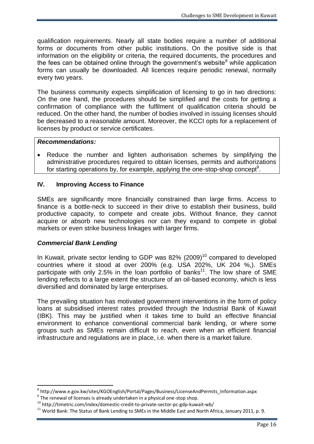qualification requirements. Nearly all state bodies require a number of additional forms or documents from other public institutions. On the positive side is that information on the eligibility or criteria, the required documents, the procedures and the fees can be obtained online through the government's website<sup>8</sup> while application forms can usually be downloaded. All licences require periodic renewal, normally every two years.

The business community expects simplification of licensing to go in two directions: On the one hand, the procedures should be simplified and the costs for getting a confirmation of compliance with the fulfilment of qualification criteria should be reduced. On the other hand, the number of bodies involved in issuing licenses should be decreased to a reasonable amount. Moreover, the KCCI opts for a replacement of licenses by product or service certificates.

#### *Recommendations:*

• Reduce the number and lighten authorisation schemes by simplifying the administrative procedures required to obtain licenses, permits and authorizations for starting operations by, for example, applying the one-stop-shop concept<sup>9</sup>.

#### **IV. Improving Access to Finance**

SMEs are significantly more financially constrained than large firms. Access to finance is a bottle-neck to succeed in their drive to establish their business, build productive capacity, to compete and create jobs. Without finance, they cannot acquire or absorb new technologies nor can they expand to compete in global markets or even strike business linkages with larger firms.

#### *Commercial Bank Lending*

 $\overline{a}$ 

In Kuwait, private sector lending to GDP was 82% (2009)<sup>10</sup> compared to developed countries where it stood at over 200% (e.g. USA 202%, UK 204 %,). SMEs participate with only 2.5% in the loan portfolio of banks<sup>11</sup>. The low share of SME lending reflects to a large extent the structure of an oil-based economy, which is less diversified and dominated by large enterprises.

The prevailing situation has motivated government interventions in the form of policy loans at subsidised interest rates provided through the Industrial Bank of Kuwait (IBK). This may be justified when it takes time to build an effective financial environment to enhance conventional commercial bank lending, or where some groups such as SMEs remain difficult to reach, even when an efficient financial infrastructure and regulations are in place, i.e. when there is a market failure.

<sup>8</sup> http://www.e.gov.kw/sites/KGOEnglish/Portal/Pages/Business/LicenseAndPermits\_Information.aspx

 $9$  The renewal of licenses is already undertaken in a physical one-stop shop.

<sup>10</sup> http://timetric.com/index/domestic-credit-to-private-sector-pc-gdp-kuwait-wb/

<sup>&</sup>lt;sup>11</sup> World Bank: The Status of Bank Lending to SMEs in the Middle East and North Africa, January 2011, p. 9.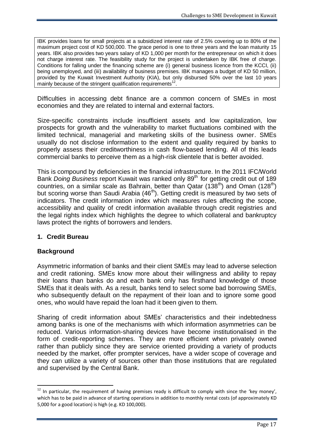IBK provides loans for small projects at a subsidized interest rate of 2.5% covering up to 80% of the maximum project cost of KD 500,000. The grace period is one to three years and the loan maturity 15 years. IBK also provides two years salary of KD 1,000 per month for the entrepreneur on which it does not charge interest rate. The feasibility study for the project is undertaken by IBK free of charge. Conditions for falling under the financing scheme are (i) general business licence from the KCCI, (ii) being unemployed, and (iii) availability of business premises. IBK manages a budget of KD 50 million, provided by the Kuwait Investment Authority (KIA), but only disbursed 50% over the last 10 years mainly because of the stringent qualification requirements<sup>12</sup>.

Difficulties in accessing debt finance are a common concern of SMEs in most economies and they are related to internal and external factors.

Size-specific constraints include insufficient assets and low capitalization, low prospects for growth and the vulnerability to market fluctuations combined with the limited technical, managerial and marketing skills of the business owner. SMEs usually do not disclose information to the extent and quality required by banks to properly assess their creditworthiness in cash flow-based lending. All of this leads commercial banks to perceive them as a high-risk clientele that is better avoided.

This is compound by deficiencies in the financial infrastructure. In the 2011 IFC/World Bank *Doing Business* report Kuwait was ranked only 89<sup>th</sup> for getting credit out of 189 countries, on a similar scale as Bahrain, better than Qatar  $(138<sup>th</sup>)$  and Oman  $(128<sup>th</sup>)$ but scoring worse than Saudi Arabia (46<sup>th</sup>). Getting credit is measured by two sets of indicators. The credit information index which measures rules affecting the scope, accessibility and quality of credit information available through credit registries and the legal rights index which highlights the degree to which collateral and bankruptcy laws protect the rights of borrowers and lenders.

#### **1. Credit Bureau**

#### **Background**

 $\overline{a}$ 

Asymmetric information of banks and their client SMEs may lead to adverse selection and credit rationing. SMEs know more about their willingness and ability to repay their loans than banks do and each bank only has firsthand knowledge of those SMEs that it deals with. As a result, banks tend to select some bad borrowing SMEs, who subsequently default on the repayment of their loan and to ignore some good ones, who would have repaid the loan had it been given to them.

Sharing of credit information about SMEs' characteristics and their indebtedness among banks is one of the mechanisms with which information asymmetries can be reduced. Various information-sharing devices have become institutionalised in the form of credit-reporting schemes. They are more efficient when privately owned rather than publicly since they are service oriented providing a variety of products needed by the market, offer prompter services, have a wider scope of coverage and they can utilize a variety of sources other than those institutions that are regulated and supervised by the Central Bank.

 $12$  In particular, the requirement of having premises ready is difficult to comply with since the 'key money', which has to be paid in advance of starting operations in addition to monthly rental costs (of approximately KD 5,000 for a good location) is high (e.g. KD 100,000).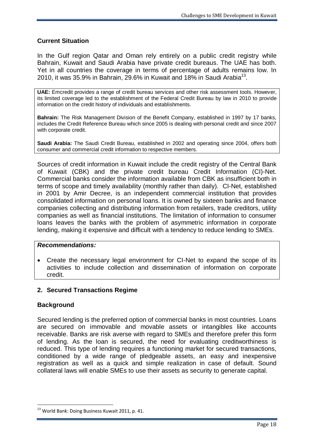## **Current Situation**

In the Gulf region Qatar and Oman rely entirely on a public credit registry while Bahrain, Kuwait and Saudi Arabia have private credit bureaus. The UAE has both. Yet in all countries the coverage in terms of percentage of adults remains low. In 2010, it was 35.9% in Bahrain, 29.6% in Kuwait and 18% in Saudi Arabia<sup>13</sup>.

**UAE:** Emcredit provides a range of credit bureau services and other risk assessment tools. However, its limited coverage led to the establishment of the Federal Credit Bureau by law in 2010 to provide information on the credit history of individuals and establishments.

**Bahrain:** The Risk Management Division of the Benefit Company, established in 1997 by 17 banks, includes the Credit Reference Bureau which since 2005 is dealing with personal credit and since 2007 with corporate credit.

**Saudi Arabia:** The Saudi Credit Bureau, established in 2002 and operating since 2004, offers both consumer and commercial credit information to respective members.

Sources of credit information in Kuwait include the credit registry of the Central Bank of Kuwait (CBK) and the private credit bureau Credit Information (CI)-Net. Commercial banks consider the information available from CBK as insufficient both in terms of scope and timely availability (monthly rather than daily). CI-Net, established in 2001 by Amir Decree, is an independent commercial institution that provides consolidated information on personal loans. It is owned by sixteen banks and finance companies collecting and distributing information from retailers, trade creditors, utility companies as well as financial institutions. The limitation of information to consumer loans leaves the banks with the problem of asymmetric information in corporate lending, making it expensive and difficult with a tendency to reduce lending to SMEs.

#### *Recommendations:*

 Create the necessary legal environment for CI-Net to expand the scope of its activities to include collection and dissemination of information on corporate credit.

## **2. Secured Transactions Regime**

#### **Background**

 $\overline{a}$ 

Secured lending is the preferred option of commercial banks in most countries. Loans are secured on immovable and movable assets or intangibles like accounts receivable. Banks are risk averse with regard to SMEs and therefore prefer this form of lending. As the loan is secured, the need for evaluating creditworthiness is reduced. This type of lending requires a functioning market for secured transactions, conditioned by a wide range of pledgeable assets, an easy and inexpensive registration as well as a quick and simple realization in case of default. Sound collateral laws will enable SMEs to use their assets as security to generate capital.

<sup>&</sup>lt;sup>13</sup> World Bank: Doing Business Kuwait 2011, p. 41.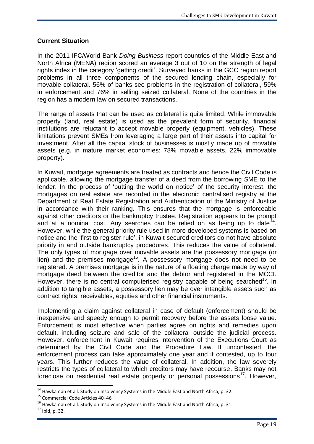## **Current Situation**

In the 2011 IFC/World Bank *Doing Business* report countries of the Middle East and North Africa (MENA) region scored an average 3 out of 10 on the strength of legal rights index in the category 'getting credit'. Surveyed banks in the GCC region report problems in all three components of the secured lending chain, especially for movable collateral. 56% of banks see problems in the registration of collateral, 59% in enforcement and 76% in selling seized collateral. None of the countries in the region has a modern law on secured transactions.

The range of assets that can be used as collateral is quite limited. While immovable property (land, real estate) is used as the prevalent form of security, financial institutions are reluctant to accept movable property (equipment, vehicles). These limitations prevent SMEs from leveraging a large part of their assets into capital for investment. After all the capital stock of businesses is mostly made up of movable assets (e.g. in mature market economies: 78% movable assets, 22% immovable property).

In Kuwait, mortgage agreements are treated as contracts and hence the Civil Code is applicable, allowing the mortgage transfer of a deed from the borrowing SME to the lender. In the process of 'putting the world on notice' of the security interest, the mortgages on real estate are recorded in the electronic centralised registry at the Department of Real Estate Registration and Authentication of the Ministry of Justice in accordance with their ranking. This ensures that the mortgage is enforceable against other creditors or the bankruptcy trustee. Registration appears to be prompt and at a nominal cost. Any searches can be relied on as being up to date<sup>14</sup>. However, while the general priority rule used in more developed systems is based on notice and the 'first to register rule', in Kuwait secured creditors do not have absolute priority in and outside bankruptcy procedures. This reduces the value of collateral. The only types of mortgage over movable assets are the possessory mortgage (or lien) and the premises mortgage<sup>15</sup>. A possessory mortgage does not need to be registered. A premises mortgage is in the nature of a floating charge made by way of mortgage deed between the creditor and the debtor and registered in the MCCI. However, there is no central computerised registry capable of being searched<sup>16</sup>. In addition to tangible assets, a possessory lien may be over intangible assets such as contract rights, receivables, equities and other financial instruments.

Implementing a claim against collateral in case of default (enforcement) should be inexpensive and speedy enough to permit recovery before the assets loose value. Enforcement is most effective when parties agree on rights and remedies upon default, including seizure and sale of the collateral outside the judicial process. However, enforcement in Kuwait requires intervention of the Executions Court as determined by the Civil Code and the Procedure Law. If uncontested, the enforcement process can take approximately one year and if contested, up to four years. This further reduces the value of collateral. In addition, the law severely restricts the types of collateral to which creditors may have recourse. Banks may not foreclose on residential real estate property or personal possessions<sup>17</sup>. However,

 $14$  Hawkamah et all: Study on Insolvency Systems in the Middle East and North Africa, p. 32.

<sup>15</sup> Commercial Code Articles 40–46

 $16$  Hawkamah et all: Study on Insolvency Systems in the Middle East and North Africa, p. 31.

 $17$  Ibid, p. 32.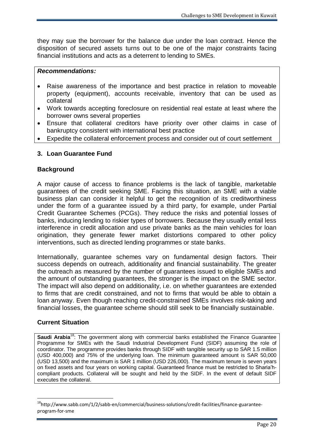they may sue the borrower for the balance due under the loan contract. Hence the disposition of secured assets turns out to be one of the major constraints facing financial institutions and acts as a deterrent to lending to SMEs.

#### *Recommendations:*

- Raise awareness of the importance and best practice in relation to moveable property (equipment), accounts receivable, inventory that can be used as collateral
- Work towards accepting foreclosure on residential real estate at least where the borrower owns several properties
- Ensure that collateral creditors have priority over other claims in case of bankruptcy consistent with international best practice
- Expedite the collateral enforcement process and consider out of court settlement

## **3. Loan Guarantee Fund**

#### **Background**

A major cause of access to finance problems is the lack of tangible, marketable guarantees of the credit seeking SME. Facing this situation, an SME with a viable business plan can consider it helpful to get the recognition of its creditworthiness under the form of a guarantee issued by a third party, for example, under Partial Credit Guarantee Schemes (PCGs). They reduce the risks and potential losses of banks, inducing lending to riskier types of borrowers. Because they usually entail less interference in credit allocation and use private banks as the main vehicles for loan origination, they generate fewer market distortions compared to other policy interventions, such as directed lending programmes or state banks.

Internationally, guarantee schemes vary on fundamental design factors. Their success depends on outreach, additionality and financial sustainability. The greater the outreach as measured by the number of guarantees issued to eligible SMEs and the amount of outstanding guarantees, the stronger is the impact on the SME sector. The impact will also depend on additionality, i.e. on whether guarantees are extended to firms that are credit constrained, and not to firms that would be able to obtain a loan anyway. Even though reaching credit-constrained SMEs involves risk-taking and financial losses, the guarantee scheme should still seek to be financially sustainable.

## **Current Situation**

 $\overline{a}$ 

**Saudi Arabia<sup>18</sup>:** The government along with commercial banks established the Finance Guarantee Programme for SMEs with the Saudi Industrial Development Fund (SIDF) assuming the role of coordinator. The programme provides banks through SIDF with tangible security up to SAR 1.5 million (USD 400,000) and 75% of the underlying loan. The minimum guaranteed amount is SAR 50,000 (USD 13,500) and the maximum is SAR 1 million (USD 226,000). The maximum tenure is seven years on fixed assets and four years on working capital. Guaranteed finance must be restricted to Sharia'hcompliant products. Collateral will be sought and held by the SIDF. In the event of default SIDF executes the collateral.

<sup>&</sup>lt;sup>18</sup>http://www.sabb.com/1/2/sabb-en/commercial/business-solutions/credit-facilities/finance-guaranteeprogram-for-sme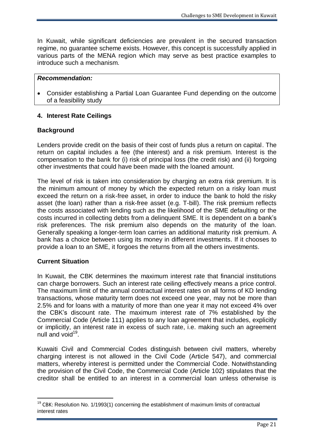In Kuwait, while significant deficiencies are prevalent in the secured transaction regime, no guarantee scheme exists. However, this concept is successfully applied in various parts of the MENA region which may serve as best practice examples to introduce such a mechanism.

#### *Recommendation:*

 Consider establishing a Partial Loan Guarantee Fund depending on the outcome of a feasibility study

#### **4. Interest Rate Ceilings**

#### **Background**

Lenders provide credit on the basis of their cost of funds plus a return on capital. The return on capital includes a fee (the interest) and a risk premium. Interest is the compensation to the bank for (i) risk of principal loss (the credit risk) and (ii) forgoing other investments that could have been made with the loaned amount.

The level of risk is taken into consideration by charging an extra risk premium. It is the minimum amount of money by which the expected return on a risky loan must exceed the return on a risk-free asset, in order to induce the bank to hold the risky asset (the loan) rather than a risk-free asset (e.g. T-bill). The risk premium reflects the costs associated with lending such as the likelihood of the SME defaulting or the costs incurred in collecting debts from a delinquent SME. It is dependent on a bank's risk preferences. The risk premium also depends on the maturity of the loan. Generally speaking a longer-term loan carries an additional maturity risk premium. A bank has a choice between using its money in different investments. If it chooses to provide a loan to an SME, it forgoes the returns from all the others investments.

#### **Current Situation**

 $\overline{a}$ 

In Kuwait, the CBK determines the maximum interest rate that financial institutions can charge borrowers. Such an interest rate ceiling effectively means a price control. The maximum limit of the annual contractual interest rates on all forms of KD lending transactions, whose maturity term does not exceed one year, may not be more than 2.5% and for loans with a maturity of more than one year it may not exceed 4% over the CBK's discount rate. The maximum interest rate of 7% established by the Commercial Code (Article 111) applies to any loan agreement that includes, explicitly or implicitly, an interest rate in excess of such rate, i.e. making such an agreement null and void<sup>19</sup>.

Kuwaiti Civil and Commercial Codes distinguish between civil matters, whereby charging interest is not allowed in the Civil Code (Article 547), and commercial matters, whereby interest is permitted under the Commercial Code. Notwithstanding the provision of the Civil Code, the Commercial Code (Article 102) stipulates that the creditor shall be entitled to an interest in a commercial loan unless otherwise is

<sup>&</sup>lt;sup>19</sup> CBK: Resolution No. 1/1993(1) concerning the establishment of maximum limits of contractual interest rates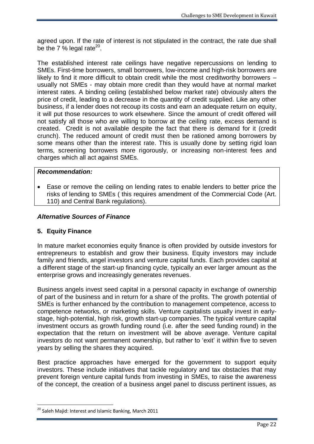agreed upon. If the rate of interest is not stipulated in the contract, the rate due shall be the 7  $%$  legal rate<sup>20</sup>.

The established interest rate ceilings have negative repercussions on lending to SMEs. First-time borrowers, small borrowers, low-income and high-risk borrowers are likely to find it more difficult to obtain credit while the most creditworthy borrowers – usually not SMEs - may obtain more credit than they would have at normal market interest rates. A binding ceiling (established below market rate) obviously alters the price of credit, leading to a decrease in the quantity of credit supplied. Like any other business, if a lender does not recoup its costs and earn an adequate return on equity, it will put those resources to work elsewhere. Since the amount of credit offered will not satisfy all those who are willing to borrow at the ceiling rate, excess demand is created. Credit is not available despite the fact that there is demand for it (credit crunch). The reduced amount of credit must then be rationed among borrowers by some means other than the interest rate. This is usually done by setting rigid loan terms, screening borrowers more rigorously, or increasing non-interest fees and charges which all act against SMEs.

#### *Recommendation:*

 Ease or remove the ceiling on lending rates to enable lenders to better price the risks of lending to SMEs ( this requires amendment of the Commercial Code (Art. 110) and Central Bank regulations).

#### *Alternative Sources of Finance*

#### **5. Equity Finance**

In mature market economies equity finance is often provided by outside investors for entrepreneurs to establish and grow their business. Equity investors may include family and friends, angel investors and venture capital funds. Each provides capital at a different stage of the start-up financing cycle, typically an ever larger amount as the enterprise grows and increasingly generates revenues.

Business angels invest seed capital in a personal capacity in exchange of ownership of part of the business and in return for a share of the profits. The growth potential of SMEs is further enhanced by the contribution to management competence, access to competence networks, or marketing skills. Venture capitalists usually invest in earlystage, high-potential, high risk, growth start-up companies. The typical venture capital investment occurs as growth funding round (i.e. after the seed funding round) in the expectation that the return on investment will be above average. Venture capital investors do not want permanent ownership, but rather to 'exit' it within five to seven years by selling the shares they acquired.

Best practice approaches have emerged for the government to support equity investors. These include initiatives that tackle regulatory and tax obstacles that may prevent foreign venture capital funds from investing in SMEs, to raise the awareness of the concept, the creation of a business angel panel to discuss pertinent issues, as

<sup>&</sup>lt;sup>20</sup> Saleh Majid: Interest and Islamic Banking, March 2011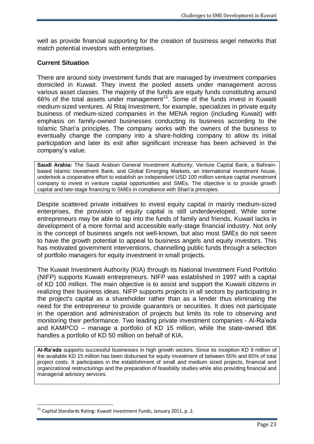well as provide financial supporting for the creation of business angel networks that match potential investors with enterprises.

#### **Current Situation**

There are around sixty investment funds that are managed by investment companies domiciled in Kuwait. They invest the pooled assets under management across various asset classes. The majority of the funds are equity funds constituting around 66% of the total assets under management<sup>21</sup>. Some of the funds invest in Kuwaiti medium-sized ventures. Al Ritaj Investment, for example, specializes in private equity business of medium-sized companies in the MENA region (including Kuwait) with emphasis on family-owned businesses conducting its business according to the Islamic Shari'a principles. The company works with the owners of the business to eventually change the company into a share-holding company to allow its initial participation and later its exit after significant increase has been achieved in the company's value.

**Saudi Arabia:** The Saudi Arabian General Investment Authority, Venture Capital Bank, a Bahrainbased Islamic Investment Bank, and Global Emerging Markets, an international investment house, undertook a cooperative effort to establish an independent USD 100 million venture capital investment company to invest in venture capital opportunities and SMEs. The objective is to provide growth capital and late-stage financing to SMEs in compliance with Shari'a principles.

Despite scattered private initiatives to invest equity capital in mainly medium-sized enterprises, the provision of equity capital is still underdeveloped. While some entrepreneurs may be able to tap into the funds of family and friends, Kuwait lacks in development of a more formal and accessible early-stage financial industry. Not only is the concept of business angels not well-known, but also most SMEs do not seem to have the growth potential to appeal to business angels and equity investors. This has motivated government interventions, channelling public funds through a selection of portfolio managers for equity investment in small projects.

The Kuwait Investment Authority (KIA) through its National Investment Fund Portfolio (NIFP) supports Kuwaiti entrepreneurs. NIFP was established in 1997 with a capital of KD 100 million. The main objective is to assist and support the Kuwaiti citizens in realizing their business ideas. NIFP supports projects in all sectors by participating in the project's capital as a shareholder rather than as a lender thus eliminating the need for the entrepreneur to provide guarantors or securities. It does not participate in the operation and administration of projects but limits its role to observing and monitoring their performance. Two leading private investment companies - Al-Ra'eda and KAMPCO – manage a portfolio of KD 15 million, while the state-owned IBK handles a portfolio of KD 50 million on behalf of KIA.

**Al-Ra'eda** supports successful businesses in high growth sectors. Since its inception KD 9 million of the available KD 15 million has been disbursed for equity investment of between 55% and 85% of total project costs. It participates in the establishment of small and medium sized projects, financial and organizational restructurings and the preparation of feasibility studies while also providing financial and managerial advisory services.

<sup>21</sup> Capital Standards Rating: Kuwait Investment Funds, January 2011, p. 2.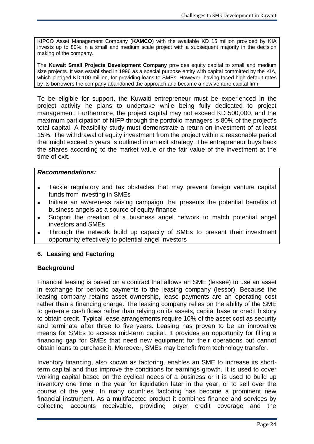KIPCO Asset Management Company (**KAMCO**) with the available KD 15 million provided by KIA invests up to 80% in a small and medium scale project with a subsequent majority in the decision making of the company.

The **Kuwait Small Projects Development Company** provides equity capital to small and medium size projects. It was established in 1996 as a special purpose entity with capital committed by the KIA, which pledged KD 100 million, for providing loans to SMEs. However, having faced high default rates by its borrowers the company abandoned the approach and became a new venture capital firm.

To be eligible for support, the Kuwaiti entrepreneur must be experienced in the project activity he plans to undertake while being fully dedicated to project management. Furthermore, the project capital may not exceed KD 500,000, and the maximum participation of NIFP through the portfolio managers is 80% of the project's total capital. A feasibility study must demonstrate a return on investment of at least 15%. The withdrawal of equity investment from the project within a reasonable period that might exceed 5 years is outlined in an exit strategy. The entrepreneur buys back the shares according to the market value or the fair value of the investment at the time of exit.

#### *Recommendations:*

- Tackle regulatory and tax obstacles that may prevent foreign venture capital funds from investing in SMEs
- Initiate an awareness raising campaign that presents the potential benefits of business angels as a source of equity finance
- Support the creation of a business angel network to match potential angel investors and SMEs
- Through the network build up capacity of SMEs to present their investment opportunity effectively to potential angel investors

#### **6. Leasing and Factoring**

#### **Background**

Financial leasing is based on a contract that allows an SME (lessee) to use an asset in exchange for periodic payments to the leasing company (lessor). Because the leasing company retains asset ownership, lease payments are an operating cost rather than a financing charge. The leasing company relies on the ability of the SME to generate cash flows rather than relying on its assets, capital base or credit history to obtain credit. Typical lease arrangements require 10% of the asset cost as security and terminate after three to five years. Leasing has proven to be an innovative means for SMEs to access mid-term capital. It provides an opportunity for filling a financing gap for SMEs that need new equipment for their operations but cannot obtain loans to purchase it. Moreover, SMEs may benefit from technology transfer.

Inventory financing, also known as factoring, enables an SME to increase its shortterm capital and thus improve the conditions for earnings growth. It is used to cover working capital based on the cyclical needs of a business or it is used to build up inventory one time in the year for liquidation later in the year, or to sell over the course of the year. In many countries factoring has become a prominent new financial instrument. As a multifaceted product it combines finance and services by collecting accounts receivable, providing buyer credit coverage and the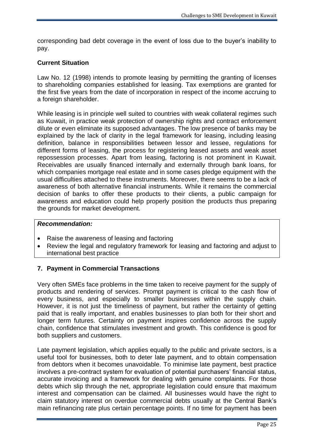corresponding bad debt coverage in the event of loss due to the buyer's inability to pay.

#### **Current Situation**

Law No. 12 (1998) intends to promote leasing by permitting the granting of licenses to shareholding companies established for leasing. Tax exemptions are granted for the first five years from the date of incorporation in respect of the income accruing to a foreign shareholder.

While leasing is in principle well suited to countries with weak collateral regimes such as Kuwait, in practice weak protection of ownership rights and contract enforcement dilute or even eliminate its supposed advantages. The low presence of banks may be explained by the lack of clarity in the legal framework for leasing, including leasing definition, balance in responsibilities between lessor and lessee, regulations for different forms of leasing, the process for registering leased assets and weak asset repossession processes. Apart from leasing, factoring is not prominent in Kuwait. Receivables are usually financed internally and externally through bank loans, for which companies mortgage real estate and in some cases pledge equipment with the usual difficulties attached to these instruments. Moreover, there seems to be a lack of awareness of both alternative financial instruments. While it remains the commercial decision of banks to offer these products to their clients, a public campaign for awareness and education could help properly position the products thus preparing the grounds for market development.

#### *Recommendation:*

- Raise the awareness of leasing and factoring
- Review the legal and regulatory framework for leasing and factoring and adjust to international best practice

#### **7. Payment in Commercial Transactions**

Very often SMEs face problems in the time taken to receive payment for the supply of products and rendering of services. Prompt payment is critical to the cash flow of every business, and especially to smaller businesses within the supply chain. However, it is not just the timeliness of payment, but rather the certainty of getting paid that is really important, and enables businesses to plan both for their short and longer term futures. Certainty on payment inspires confidence across the supply chain, confidence that stimulates investment and growth. This confidence is good for both suppliers and customers.

Late payment legislation, which applies equally to the public and private sectors, is a useful tool for businesses, both to deter late payment, and to obtain compensation from debtors when it becomes unavoidable. To minimise late payment, best practice involves a pre-contract system for evaluation of potential purchasers' financial status, accurate invoicing and a framework for dealing with genuine complaints. For those debts which slip through the net, appropriate legislation could ensure that maximum interest and compensation can be claimed. All businesses would have the right to claim statutory interest on overdue commercial debts usually at the Central Bank's main refinancing rate plus certain percentage points. If no time for payment has been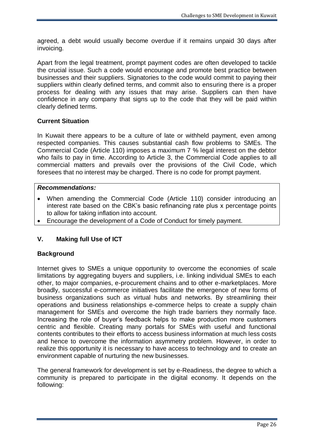agreed, a debt would usually become overdue if it remains unpaid 30 days after invoicing.

Apart from the legal treatment, prompt payment codes are often developed to tackle the crucial issue. Such a code would encourage and promote best practice between businesses and their suppliers. Signatories to the code would commit to paying their suppliers within clearly defined terms, and commit also to ensuring there is a proper process for dealing with any issues that may arise. Suppliers can then have confidence in any company that signs up to the code that they will be paid within clearly defined terms.

#### **Current Situation**

In Kuwait there appears to be a culture of late or withheld payment, even among respected companies. This causes substantial cash flow problems to SMEs. The Commercial Code (Article 110) imposes a maximum 7 % legal interest on the debtor who fails to pay in time. According to Article 3, the Commercial Code applies to all commercial matters and prevails over the provisions of the Civil Code, which foresees that no interest may be charged. There is no code for prompt payment.

#### *Recommendations:*

- When amending the Commercial Code (Article 110) consider introducing an interest rate based on the CBK's basic refinancing rate plus x percentage points to allow for taking inflation into account.
- Encourage the development of a Code of Conduct for timely payment.

## **V. Making full Use of ICT**

#### **Background**

Internet gives to SMEs a unique opportunity to overcome the economies of scale limitations by aggregating buyers and suppliers, i.e. linking individual SMEs to each other, to major companies, e-procurement chains and to other e-marketplaces. More broadly, successful e-commerce initiatives facilitate the emergence of new forms of business organizations such as virtual hubs and networks. By streamlining their operations and business relationships e-commerce helps to create a supply chain management for SMEs and overcome the high trade barriers they normally face. Increasing the role of buyer's feedback helps to make production more customers centric and flexible. Creating many portals for SMEs with useful and functional contents contributes to their efforts to access business information at much less costs and hence to overcome the information asymmetry problem. However, in order to realize this opportunity it is necessary to have access to technology and to create an environment capable of nurturing the new businesses.

The general framework for development is set by e-Readiness, the degree to which a community is prepared to participate in the digital economy. It depends on the following: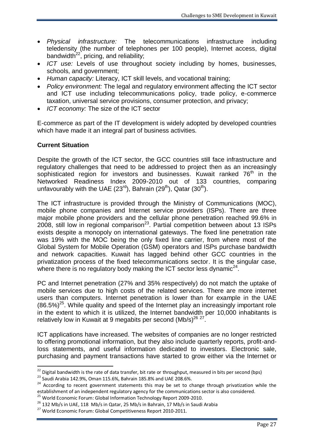- *Physical infrastructure:* The telecommunications infrastructure including teledensity (the number of telephones per 100 people), Internet access, digital bandwidth $^{22}$ , pricing, and reliability;
- *ICT use:* Levels of use throughout society including by homes, businesses, schools, and government;
- *Human capacity:* Literacy, ICT skill levels, and vocational training;
- *Policy environment:* The legal and regulatory environment affecting the ICT sector and ICT use including telecommunications policy, trade policy, e-commerce taxation, universal service provisions, consumer protection, and privacy;
- *ICT economy:* The size of the ICT sector

E-commerce as part of the IT development is widely adopted by developed countries which have made it an integral part of business activities.

## **Current Situation**

Despite the growth of the ICT sector, the GCC countries still face infrastructure and regulatory challenges that need to be addressed to project then as an increasingly sophisticated region for investors and businesses. Kuwait ranked 76<sup>th</sup> in the Networked Readiness Index 2009-2010 out of 133 countries, comparing unfavourably with the UAE (23<sup>rd</sup>), Bahrain (29<sup>th</sup>), Qatar (30<sup>th</sup>).

The ICT infrastructure is provided through the Ministry of Communications (MOC), mobile phone companies and Internet service providers (ISPs). There are three major mobile phone providers and the cellular phone penetration reached 99.6% in 2008, still low in regional comparison<sup>23</sup>. Partial competition between about 13 ISPs exists despite a monopoly on international gateways. The fixed line penetration rate was 19% with the MOC being the only fixed line carrier, from where most of the Global System for Mobile Operation (GSM) operators and ISPs purchase bandwidth and network capacities. Kuwait has lagged behind other GCC countries in the privatization process of the fixed telecommunications sector. It is the singular case, where there is no regulatory body making the ICT sector less dynamic<sup>24</sup>.

PC and Internet penetration (27% and 35% respectively) do not match the uptake of mobile services due to high costs of the related services. There are more internet users than computers. Internet penetration is lower than for example in the UAE  $(86.5%)^{25}$ . While quality and speed of the Internet play an increasingly important role in the extent to which it is utilized, the Internet bandwidth per 10,000 inhabitants is relatively low in Kuwait at 9 megabits per second  $(Mb/s)^{26}$   $^{27}$ .

ICT applications have increased. The websites of companies are no longer restricted to offering promotional information, but they also include quarterly reports, profit-andloss statements, and useful information dedicated to investors. Electronic sale, purchasing and payment transactions have started to grow either via the Internet or

<sup>1</sup>  $^{22}$  Digital bandwidth is the rate of data transfer, bit rate or throughput, measured in bits per second (bps)

 $23$  Saudi Arabia 142.9%, Oman 115.6%, Bahrain 185.8% and UAE 208.6%.

<sup>&</sup>lt;sup>24</sup> According to recent government statements this may be set to change through privatization while the establishment of an independent regulatory agency for the communications sector is also considered.

<sup>&</sup>lt;sup>25</sup> World Economic Forum: Global Information Technology Report 2009-2010.

 $^{26}$  132 Mb/s in UAE, 118 Mb/s in Qatar, 25 Mb/s in Bahrain, 17 Mb/s in Saudi Arabia

<sup>&</sup>lt;sup>27</sup> World Economic Forum: Global Competitiveness Report 2010-2011.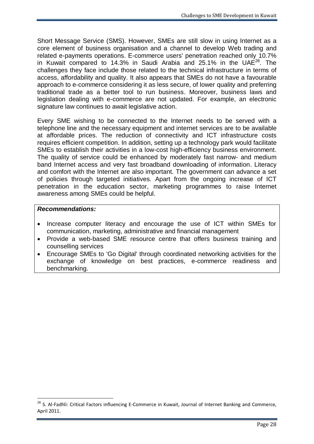Short Message Service (SMS). However, SMEs are still slow in using Internet as a core element of business organisation and a channel to develop Web trading and related e-payments operations. E-commerce users' penetration reached only 10.7% in Kuwait compared to 14.3% in Saudi Arabia and 25.1% in the UAE<sup>28</sup>. The challenges they face include those related to the technical infrastructure in terms of access, affordability and quality. It also appears that SMEs do not have a favourable approach to e-commerce considering it as less secure, of lower quality and preferring traditional trade as a better tool to run business. Moreover, business laws and legislation dealing with e-commerce are not updated. For example, an electronic signature law continues to await legislative action.

Every SME wishing to be connected to the Internet needs to be served with a telephone line and the necessary equipment and internet services are to be available at affordable prices. The reduction of connectivity and ICT infrastructure costs requires efficient competition. In addition, setting up a technology park would facilitate SMEs to establish their activities in a low-cost high-efficiency business environment. The quality of service could be enhanced by moderately fast narrow- and medium band Internet access and very fast broadband downloading of information. Literacy and comfort with the Internet are also important. The government can advance a set of policies through targeted initiatives. Apart from the ongoing increase of ICT penetration in the education sector, marketing programmes to raise Internet awareness among SMEs could be helpful.

#### *Recommendations:*

- Increase computer literacy and encourage the use of ICT within SMEs for communication, marketing, administrative and financial management
- Provide a web-based SME resource centre that offers business training and counselling services
- Encourage SMEs to 'Go Digital' through coordinated networking activities for the exchange of knowledge on best practices, e-commerce readiness and benchmarking.

<sup>&</sup>lt;sup>28</sup> S. Al-Fadhli: Critical Factors influencing E-Commerce in Kuwait, Journal of Internet Banking and Commerce, April 2011.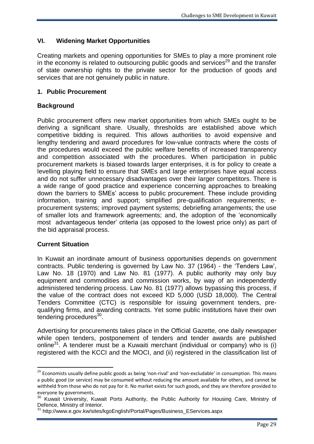## **VI. Widening Market Opportunities**

Creating markets and opening opportunities for SMEs to play a more prominent role in the economy is related to outsourcing public goods and services<sup>29</sup> and the transfer of state ownership rights to the private sector for the production of goods and services that are not genuinely public in nature.

## **1. Public Procurement**

## **Background**

Public procurement offers new market opportunities from which SMEs ought to be deriving a significant share. Usually, thresholds are established above which competitive bidding is required. This allows authorities to avoid expensive and lengthy tendering and award procedures for low-value contracts where the costs of the procedures would exceed the public welfare benefits of increased transparency and competition associated with the procedures. When participation in public procurement markets is biased towards larger enterprises, it is for policy to create a levelling playing field to ensure that SMEs and large enterprises have equal access and do not suffer unnecessary disadvantages over their larger competitors. There is a wide range of good practice and experience concerning approaches to breaking down the barriers to SMEs' access to public procurement. These include providing information, training and support; simplified pre-qualification requirements; eprocurement systems; improved payment systems; debriefing arrangements; the use of smaller lots and framework agreements; and, the adoption of the 'economically most advantageous tender' criteria (as opposed to the lowest price only) as part of the bid appraisal process.

#### **Current Situation**

1

In Kuwait an inordinate amount of business opportunities depends on government contracts. Public tendering is governed by Law No. 37 (1964) - the 'Tenders Law', Law No. 18 (1970) and Law No. 81 (1977). A public authority may only buy equipment and commodities and commission works, by way of an independently administered tendering process. Law No. 81 (1977) allows bypassing this process, if the value of the contract does not exceed KD 5,000 (USD 18,000). The Central Tenders Committee (CTC) is responsible for issuing government tenders, prequalifying firms, and awarding contracts. Yet some public institutions have their own tendering procedures<sup>30</sup>.

Advertising for procurements takes place in the Official Gazette, one daily newspaper while open tenders, postponement of tenders and tender awards are published online<sup>31</sup>. A tenderer must be a Kuwaiti merchant (individual or company) who is (i) registered with the KCCI and the MOCI, and (ii) registered in the classification list of

<sup>&</sup>lt;sup>29</sup> Economists usually define public goods as being 'non-rival' and 'non-excludable' in consumption. This means a public good (or [service\)](http://www.businessdictionary.com/definition/final-good-service.html) may be consumed without reducing the amount available for others, and cannot be withheld from those who do no[t pay](http://www.businessdictionary.com/definition/pay.html) for it. N[o market](http://www.businessdictionary.com/definition/market.html) exists for such goods, and they are therefore provided to everyone by [governments.](http://www.businessdictionary.com/definition/government.html)

<sup>&</sup>lt;sup>30</sup> Kuwait University, Kuwait Ports Authority, the Public Authority for Housing Care, Ministry of Defence, Ministry of Interior.

<sup>31</sup> http://www.e.gov.kw/sites/kgoEnglish/Portal/Pages/Business\_EServices.aspx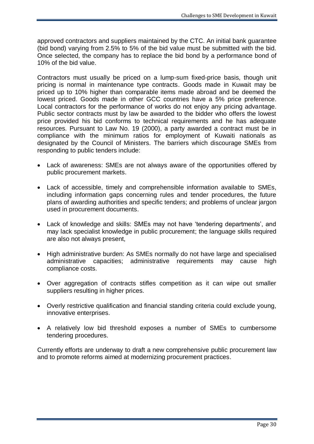approved contractors and suppliers maintained by the CTC. An initial bank guarantee (bid bond) varying from 2.5% to 5% of the bid value must be submitted with the bid. Once selected, the company has to replace the bid bond by a performance bond of 10% of the bid value.

Contractors must usually be priced on a lump-sum fixed-price basis, though unit pricing is normal in maintenance type contracts. Goods made in Kuwait may be priced up to 10% higher than comparable items made abroad and be deemed the lowest priced. Goods made in other GCC countries have a 5% price preference. Local contractors for the performance of works do not enjoy any pricing advantage. Public sector contracts must by law be awarded to the bidder who offers the lowest price provided his bid conforms to technical requirements and he has adequate resources. Pursuant to Law No. 19 (2000), a party awarded a contract must be in compliance with the minimum ratios for employment of Kuwaiti nationals as designated by the Council of Ministers. The barriers which discourage SMEs from responding to public tenders include:

- Lack of awareness: SMEs are not always aware of the opportunities offered by public procurement markets.
- Lack of accessible, timely and comprehensible information available to SMEs, including information gaps concerning rules and tender procedures, the future plans of awarding authorities and specific tenders; and problems of unclear jargon used in procurement documents.
- Lack of knowledge and skills: SMEs may not have 'tendering departments', and may lack specialist knowledge in public procurement; the language skills required are also not always present,
- High administrative burden: As SMEs normally do not have large and specialised administrative capacities; administrative requirements may cause high compliance costs.
- Over aggregation of contracts stifles competition as it can wipe out smaller suppliers resulting in higher prices.
- Overly restrictive qualification and financial standing criteria could exclude young, innovative enterprises.
- A relatively low bid threshold exposes a number of SMEs to cumbersome tendering procedures.

Currently efforts are underway to draft a new comprehensive public procurement law and to promote reforms aimed at modernizing procurement practices.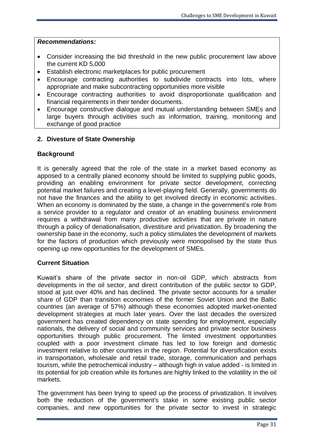- Consider increasing the bid threshold in the new public procurement law above the current KD 5,000
- Establish electronic marketplaces for public procurement
- Encourage contracting authorities to subdivide contracts into lots, where appropriate and make subcontracting opportunities more visible
- Encourage contracting authorities to avoid disproportionate qualification and financial requirements in their tender documents.
- Encourage constructive dialogue and mutual understanding between SMEs and large buyers through activities such as information, training, monitoring and exchange of good practice

## **2. Divesture of State Ownership**

## **Background**

It is generally agreed that the role of the state in a market based economy as apposed to a centrally planed economy should be limited to supplying public goods, providing an enabling environment for private sector development, correcting potential market failures and creating a level-playing field. Generally, governments do not have the finances and the ability to get involved directly in economic activities. When an economy is dominated by the state, a change in the government's role from a service provider to a regulator and creator of an enabling business environment requires a withdrawal from many productive activities that are private in nature through a policy of denationalisation, divestiture and privatization. By broadening the ownership base in the economy, such a policy stimulates the development of markets for the factors of production which previously were monopolised by the state thus opening up new opportunities for the development of SMEs.

## **Current Situation**

Kuwait's share of the private sector in non-oil GDP, which abstracts from developments in the oil sector, and direct contribution of the public sector to GDP, stood at just over 40% and has declined. The private sector accounts for a smaller share of GDP than transition economies of the former Soviet Union and the Baltic countries (an average of 57%) although these economies adopted market-oriented development strategies at much later years. Over the last decades the oversized government has created dependency on state spending for employment, especially nationals, the delivery of social and community services and private sector business opportunities through public procurement. The limited investment opportunities coupled with a poor investment climate has led to low foreign and domestic investment relative to other countries in the region. Potential for diversification exists in transportation, wholesale and retail trade, storage, communication and perhaps tourism, while the petrochemical industry – although high in value added - is limited in its potential for job creation while its fortunes are highly linked to the volatility in the oil markets.

The government has been trying to speed up the process of privatization. It involves both the reduction of the government's stake in some existing public sector companies, and new opportunities for the private sector to invest in strategic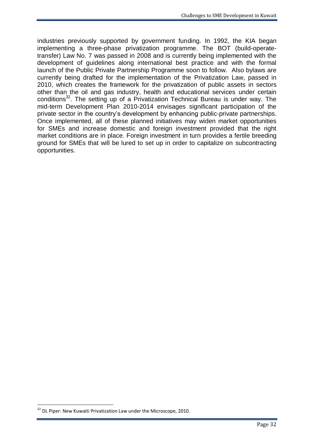industries previously supported by government funding. In 1992, the KIA began implementing a three-phase privatization programme. The BOT (build-operatetransfer) Law No. 7 was passed in 2008 and is currently being implemented with the development of guidelines along international best practice and with the formal launch of the Public Private Partnership Programme soon to follow. Also bylaws are currently being drafted for the implementation of the Privatization Law, passed in 2010, which creates the framework for the privatization of public assets in sectors other than the oil and gas industry, health and educational services under certain conditions<sup>32</sup>. The setting up of a Privatization Technical Bureau is under way. The mid-term Development Plan 2010-2014 envisages significant participation of the private sector in the country's development by enhancing public-private partnerships. Once implemented, all of these planned initiatives may widen market opportunities for SMEs and increase domestic and foreign investment provided that the right market conditions are in place. Foreign investment in turn provides a fertile breeding ground for SMEs that will be lured to set up in order to capitalize on subcontracting opportunities.

<sup>&</sup>lt;sup>32</sup> DL Piper: New Kuwaiti Privatization Law under the Microscope, 2010.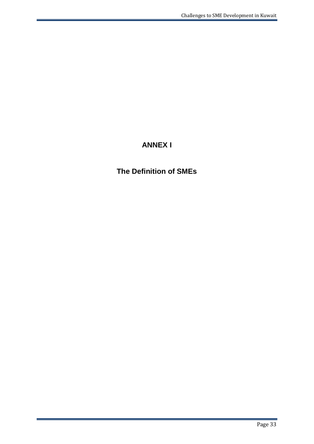# **ANNEX I**

# **The Definition of SMEs**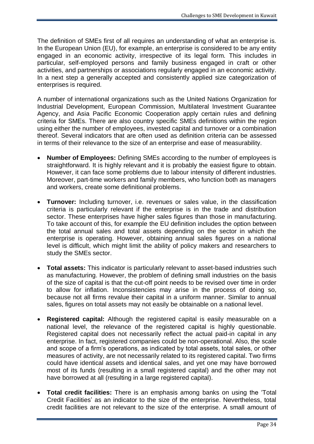The definition of SMEs first of all requires an understanding of what an enterprise is. In the European Union (EU), for example, an enterprise is considered to be any entity engaged in an economic activity, irrespective of its legal form. This includes in particular, self-employed persons and family business engaged in craft or other activities, and partnerships or associations regularly engaged in an economic activity. In a next step a generally accepted and consistently applied size categorization of enterprises is required.

A number of international organizations such as the United Nations Organization for Industrial Development, European Commission, Multilateral Investment Guarantee Agency, and Asia Pacific Economic Cooperation apply certain rules and defining criteria for SMEs. There are also country specific SMEs definitions within the region using either the number of employees, invested capital and turnover or a combination thereof. Several indicators that are often used as definition criteria can be assessed in terms of their relevance to the size of an enterprise and ease of measurability.

- **Number of Employees:** Defining SMEs according to the number of employees is straightforward. It is highly relevant and it is probably the easiest figure to obtain. However, it can face some problems due to labour intensity of different industries. Moreover, part-time workers and family members, who function both as managers and workers, create some definitional problems.
- **Turnover:** Including turnover, i.e. revenues or sales value, in the classification criteria is particularly relevant if the enterprise is in the trade and distribution sector. These enterprises have higher sales figures than those in manufacturing. To take account of this, for example the EU definition includes the option between the total annual sales and total assets depending on the sector in which the enterprise is operating. However, obtaining annual sales figures on a national level is difficult, which might limit the ability of policy makers and researchers to study the SMEs sector.
- **Total assets:** This indicator is particularly relevant to asset-based industries such as manufacturing. However, the problem of defining small industries on the basis of the size of capital is that the cut-off point needs to be revised over time in order to allow for inflation. Inconsistencies may arise in the process of doing so, because not all firms revalue their capital in a uniform manner. Similar to annual sales, figures on total assets may not easily be obtainable on a national level.
- **Registered capital:** Although the registered capital is easily measurable on a national level, the relevance of the registered capital is highly questionable. Registered capital does not necessarily reflect the actual paid-in capital in any enterprise. In fact, registered companies could be non-operational. Also, the scale and scope of a firm's operations, as indicated by total assets, total sales, or other measures of activity, are not necessarily related to its registered capital. Two firms could have identical assets and identical sales, and yet one may have borrowed most of its funds (resulting in a small registered capital) and the other may not have borrowed at all (resulting in a large registered capital).
- **Total credit facilities:** There is an emphasis among banks on using the 'Total Credit Facilities' as an indicator to the size of the enterprise. Nevertheless, total credit facilities are not relevant to the size of the enterprise. A small amount of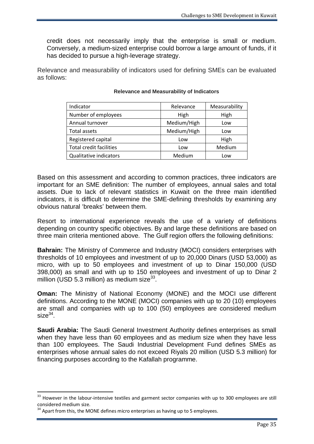credit does not necessarily imply that the enterprise is small or medium. Conversely, a medium-sized enterprise could borrow a large amount of funds, if it has decided to pursue a high-leverage strategy.

Relevance and measurability of indicators used for defining SMEs can be evaluated as follows:

| Indicator                      | Relevance   | Measurability |
|--------------------------------|-------------|---------------|
| Number of employees            | High        | High          |
| Annual turnover                | Medium/High | Low           |
| Total assets                   | Medium/High | Low           |
| Registered capital             | Low         | High          |
| <b>Total credit facilities</b> | Low         | Medium        |
| Qualitative indicators         | Medium      | Low           |

#### **Relevance and Measurability of Indicators**

Based on this assessment and according to common practices, three indicators are important for an SME definition: The number of employees, annual sales and total assets. Due to lack of relevant statistics in Kuwait on the three main identified indicators, it is difficult to determine the SME-defining thresholds by examining any obvious natural 'breaks' between them.

Resort to international experience reveals the use of a variety of definitions depending on country specific objectives. By and large these definitions are based on three main criteria mentioned above. The Gulf region offers the following definitions:

**Bahrain:** The Ministry of Commerce and Industry (MOCI) considers enterprises with thresholds of 10 employees and investment of up to 20,000 Dinars (USD 53,000) as micro, with up to 50 employees and investment of up to Dinar 150,000 (USD 398,000) as small and with up to 150 employees and investment of up to Dinar 2 million (USD 5.3 million) as medium size $^{33}$ .

**Oman:** The Ministry of National Economy (MONE) and the MOCI use different definitions. According to the MONE (MOCI) companies with up to 20 (10) employees are small and companies with up to 100 (50) employees are considered medium  $size^{34}$ .

**Saudi Arabia:** The Saudi General Investment Authority defines enterprises as small when they have less than 60 employees and as medium size when they have less than 100 employees. The Saudi Industrial Development Fund defines SMEs as enterprises whose annual sales do not exceed Riyals 20 million (USD 5.3 million) for financing purposes according to the Kafallah programme.

1

 $33$  However in the labour-intensive textiles and garment sector companies with up to 300 employees are still considered medium size.

<sup>&</sup>lt;sup>34</sup> Apart from this, the MONE defines micro enterprises as having up to 5 employees.